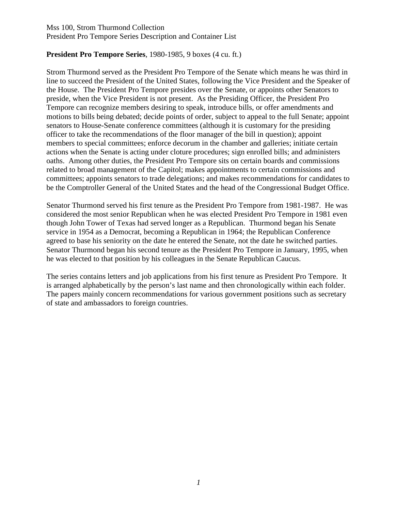### Mss 100, Strom Thurmond Collection President Pro Tempore Series Description and Container List

### **President Pro Tempore Series**, 1980-1985, 9 boxes (4 cu. ft.)

Strom Thurmond served as the President Pro Tempore of the Senate which means he was third in line to succeed the President of the United States, following the Vice President and the Speaker of the House. The President Pro Tempore presides over the Senate, or appoints other Senators to preside, when the Vice President is not present. As the Presiding Officer, the President Pro Tempore can recognize members desiring to speak, introduce bills, or offer amendments and motions to bills being debated; decide points of order, subject to appeal to the full Senate; appoint senators to House-Senate conference committees (although it is customary for the presiding officer to take the recommendations of the floor manager of the bill in question); appoint members to special committees; enforce decorum in the chamber and galleries; initiate certain actions when the Senate is acting under cloture procedures; sign enrolled bills; and administers oaths. Among other duties, the President Pro Tempore sits on certain boards and commissions related to broad management of the Capitol; makes appointments to certain commissions and committees; appoints senators to trade delegations; and makes recommendations for candidates to be the Comptroller General of the United States and the head of the Congressional Budget Office.

Senator Thurmond served his first tenure as the President Pro Tempore from 1981-1987. He was considered the most senior Republican when he was elected President Pro Tempore in 1981 even though John Tower of Texas had served longer as a Republican. Thurmond began his Senate service in 1954 as a Democrat, becoming a Republican in 1964; the Republican Conference agreed to base his seniority on the date he entered the Senate, not the date he switched parties. Senator Thurmond began his second tenure as the President Pro Tempore in January, 1995, when he was elected to that position by his colleagues in the Senate Republican Caucus.

The series contains letters and job applications from his first tenure as President Pro Tempore. It is arranged alphabetically by the person's last name and then chronologically within each folder. The papers mainly concern recommendations for various government positions such as secretary of state and ambassadors to foreign countries.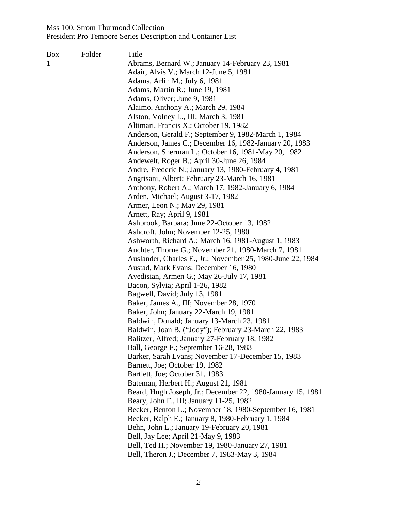| <u>Box</u> | Folder | Title                                                       |
|------------|--------|-------------------------------------------------------------|
|            |        | Abrams, Bernard W.; January 14-February 23, 1981            |
|            |        | Adair, Alvis V.; March 12-June 5, 1981                      |
|            |        | Adams, Arlin M.; July 6, 1981                               |
|            |        | Adams, Martin R.; June 19, 1981                             |
|            |        | Adams, Oliver; June 9, 1981                                 |
|            |        | Alaimo, Anthony A.; March 29, 1984                          |
|            |        | Alston, Volney L., III; March 3, 1981                       |
|            |        | Altimari, Francis X.; October 19, 1982                      |
|            |        | Anderson, Gerald F.; September 9, 1982-March 1, 1984        |
|            |        | Anderson, James C.; December 16, 1982-January 20, 1983      |
|            |        | Anderson, Sherman L.; October 16, 1981-May 20, 1982         |
|            |        | Andewelt, Roger B.; April 30-June 26, 1984                  |
|            |        | Andre, Frederic N.; January 13, 1980-February 4, 1981       |
|            |        | Angrisani, Albert; February 23-March 16, 1981               |
|            |        | Anthony, Robert A.; March 17, 1982-January 6, 1984          |
|            |        | Arden, Michael; August 3-17, 1982                           |
|            |        | Armer, Leon N.; May 29, 1981                                |
|            |        | Arnett, Ray; April 9, 1981                                  |
|            |        | Ashbrook, Barbara; June 22-October 13, 1982                 |
|            |        | Ashcroft, John; November 12-25, 1980                        |
|            |        | Ashworth, Richard A.; March 16, 1981-August 1, 1983         |
|            |        | Auchter, Thorne G.; November 21, 1980-March 7, 1981         |
|            |        | Auslander, Charles E., Jr.; November 25, 1980-June 22, 1984 |
|            |        | Austad, Mark Evans; December 16, 1980                       |
|            |        | Avedisian, Armen G.; May 26-July 17, 1981                   |
|            |        | Bacon, Sylvia; April 1-26, 1982                             |
|            |        | Bagwell, David; July 13, 1981                               |
|            |        | Baker, James A., III; November 28, 1970                     |
|            |        | Baker, John; January 22-March 19, 1981                      |
|            |        | Baldwin, Donald; January 13-March 23, 1981                  |
|            |        | Baldwin, Joan B. ("Jody"); February 23-March 22, 1983       |
|            |        | Balitzer, Alfred; January 27-February 18, 1982              |
|            |        | Ball, George F.; September 16-28, 1983                      |
|            |        | Barker, Sarah Evans; November 17-December 15, 1983          |
|            |        | Barnett, Joe; October 19, 1982                              |
|            |        | Bartlett, Joe; October 31, 1983                             |
|            |        | Bateman, Herbert H.; August 21, 1981                        |
|            |        | Beard, Hugh Joseph, Jr.; December 22, 1980-January 15, 1981 |
|            |        | Beary, John F., III; January 11-25, 1982                    |
|            |        | Becker, Benton L.; November 18, 1980-September 16, 1981     |
|            |        | Becker, Ralph E.; January 8, 1980-February 1, 1984          |
|            |        | Behn, John L.; January 19-February 20, 1981                 |
|            |        | Bell, Jay Lee; April 21-May 9, 1983                         |
|            |        | Bell, Ted H.; November 19, 1980-January 27, 1981            |
|            |        | Bell, Theron J.; December 7, 1983-May 3, 1984               |
|            |        |                                                             |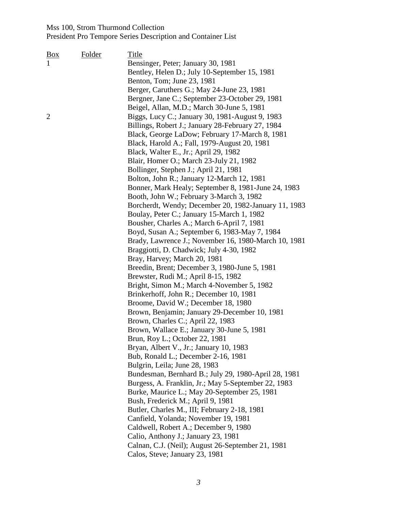| Folder | Title<br>Bensinger, Peter; January 30, 1981<br>Bentley, Helen D.; July 10-September 15, 1981<br>Benton, Tom; June 23, 1981<br>Berger, Caruthers G.; May 24-June 23, 1981<br>Bergner, Jane C.; September 23-October 29, 1981                                                                                                                                                                                                                                                                                                                                                                                                                                                                                                                                                                                                                                                                                                                                                                                                                                                                                                                                                                                                                                                                                                                                                                                                                                                                                                                                                                      |
|--------|--------------------------------------------------------------------------------------------------------------------------------------------------------------------------------------------------------------------------------------------------------------------------------------------------------------------------------------------------------------------------------------------------------------------------------------------------------------------------------------------------------------------------------------------------------------------------------------------------------------------------------------------------------------------------------------------------------------------------------------------------------------------------------------------------------------------------------------------------------------------------------------------------------------------------------------------------------------------------------------------------------------------------------------------------------------------------------------------------------------------------------------------------------------------------------------------------------------------------------------------------------------------------------------------------------------------------------------------------------------------------------------------------------------------------------------------------------------------------------------------------------------------------------------------------------------------------------------------------|
|        | Beigel, Allan, M.D.; March 30-June 5, 1981<br>Biggs, Lucy C.; January 30, 1981-August 9, 1983<br>Billings, Robert J.; January 28-February 27, 1984<br>Black, George LaDow; February 17-March 8, 1981<br>Black, Harold A.; Fall, 1979-August 20, 1981<br>Black, Walter E., Jr.; April 29, 1982<br>Blair, Homer O.; March 23-July 21, 1982<br>Bollinger, Stephen J.; April 21, 1981<br>Bolton, John R.; January 12-March 12, 1981<br>Bonner, Mark Healy; September 8, 1981-June 24, 1983<br>Booth, John W.; February 3-March 3, 1982<br>Borcherdt, Wendy; December 20, 1982-January 11, 1983<br>Boulay, Peter C.; January 15-March 1, 1982<br>Bousher, Charles A.; March 6-April 7, 1981<br>Boyd, Susan A.; September 6, 1983-May 7, 1984<br>Brady, Lawrence J.; November 16, 1980-March 10, 1981<br>Braggiotti, D. Chadwick; July 4-30, 1982<br>Bray, Harvey; March 20, 1981<br>Breedin, Brent; December 3, 1980-June 5, 1981<br>Brewster, Rudi M.; April 8-15, 1982<br>Bright, Simon M.; March 4-November 5, 1982<br>Brinkerhoff, John R.; December 10, 1981<br>Broome, David W.; December 18, 1980<br>Brown, Benjamin; January 29-December 10, 1981<br>Brown, Charles C.; April 22, 1983<br>Brown, Wallace E.; January 30-June 5, 1981<br>Brun, Roy L.; October 22, 1981<br>Bryan, Albert V., Jr.; January 10, 1983<br>Bub, Ronald L.; December 2-16, 1981<br>Bulgrin, Leila; June 28, 1983<br>Bundesman, Bernhard B.; July 29, 1980-April 28, 1981<br>Burgess, A. Franklin, Jr.; May 5-September 22, 1983<br>Burke, Maurice L.; May 20-September 25, 1981<br>Bush, Frederick M.; April 9, 1981 |
|        | Butler, Charles M., III; February 2-18, 1981<br>Canfield, Yolanda; November 19, 1981<br>Caldwell, Robert A.; December 9, 1980<br>Calio, Anthony J.; January 23, 1981<br>Calnan, C.J. (Neil); August 26-September 21, 1981<br>Calos, Steve; January 23, 1981                                                                                                                                                                                                                                                                                                                                                                                                                                                                                                                                                                                                                                                                                                                                                                                                                                                                                                                                                                                                                                                                                                                                                                                                                                                                                                                                      |
|        |                                                                                                                                                                                                                                                                                                                                                                                                                                                                                                                                                                                                                                                                                                                                                                                                                                                                                                                                                                                                                                                                                                                                                                                                                                                                                                                                                                                                                                                                                                                                                                                                  |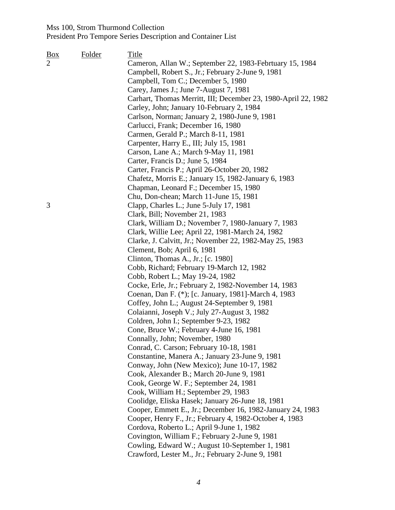| Box<br>$\overline{2}$ | Folder | <b>Title</b><br>Cameron, Allan W.; September 22, 1983-Febrtuary 15, 1984<br>Campbell, Robert S., Jr.; February 2-June 9, 1981<br>Campbell, Tom C.; December 5, 1980<br>Carey, James J.; June 7-August 7, 1981<br>Carhart, Thomas Merritt, III; December 23, 1980-April 22, 1982<br>Carley, John; January 10-February 2, 1984<br>Carlson, Norman; January 2, 1980-June 9, 1981<br>Carlucci, Frank; December 16, 1980<br>Carmen, Gerald P.; March 8-11, 1981<br>Carpenter, Harry E., III; July 15, 1981<br>Carson, Lane A.; March 9-May 11, 1981<br>Carter, Francis D.; June 5, 1984<br>Carter, Francis P.; April 26-October 20, 1982<br>Chafetz, Morris E.; January 15, 1982-January 6, 1983                                                                                                                                                                                                                                                                                                                                 |
|-----------------------|--------|-----------------------------------------------------------------------------------------------------------------------------------------------------------------------------------------------------------------------------------------------------------------------------------------------------------------------------------------------------------------------------------------------------------------------------------------------------------------------------------------------------------------------------------------------------------------------------------------------------------------------------------------------------------------------------------------------------------------------------------------------------------------------------------------------------------------------------------------------------------------------------------------------------------------------------------------------------------------------------------------------------------------------------|
| 3                     |        | Chapman, Leonard F.; December 15, 1980<br>Chu, Don-chean; March 11-June 15, 1981<br>Clapp, Charles L.; June 5-July 17, 1981<br>Clark, Bill; November 21, 1983<br>Clark, William D.; November 7, 1980-January 7, 1983<br>Clark, Willie Lee; April 22, 1981-March 24, 1982<br>Clarke, J. Calvitt, Jr.; November 22, 1982-May 25, 1983<br>Clement, Bob; April 6, 1981<br>Clinton, Thomas A., Jr.; [c. 1980]<br>Cobb, Richard; February 19-March 12, 1982<br>Cobb, Robert L.; May 19-24, 1982<br>Cocke, Erle, Jr.; February 2, 1982-November 14, 1983<br>Coenan, Dan F. (*); [c. January, 1981]-March 4, 1983<br>Coffey, John L.; August 24-September 9, 1981<br>Colaianni, Joseph V.; July 27-August 3, 1982<br>Coldren, John I.; September 9-23, 1982<br>Cone, Bruce W.; February 4-June 16, 1981<br>Connally, John; November, 1980<br>Conrad, C. Carson; February 10-18, 1981<br>Constantine, Manera A.; January 23-June 9, 1981<br>Conway, John (New Mexico); June 10-17, 1982<br>Cook, Alexander B.; March 20-June 9, 1981 |
|                       |        | Cook, George W. F.; September 24, 1981<br>Cook, William H.; September 29, 1983<br>Coolidge, Eliska Hasek; January 26-June 18, 1981<br>Cooper, Emmett E., Jr.; December 16, 1982-January 24, 1983<br>Cooper, Henry F., Jr.; February 4, 1982-October 4, 1983<br>Cordova, Roberto L.; April 9-June 1, 1982<br>Covington, William F.; February 2-June 9, 1981<br>Cowling, Edward W.; August 10-September 1, 1981<br>Crawford, Lester M., Jr.; February 2-June 9, 1981                                                                                                                                                                                                                                                                                                                                                                                                                                                                                                                                                          |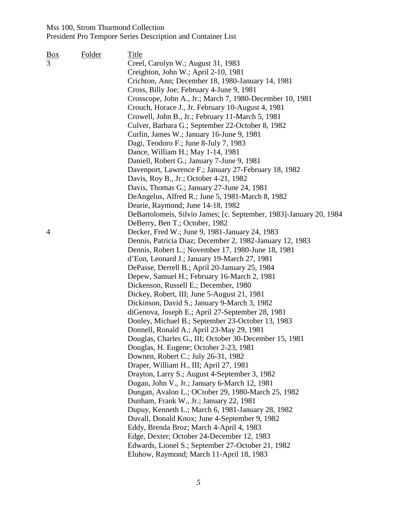| $\frac{Box}{angle}$ | Folder | Title                                                              |
|---------------------|--------|--------------------------------------------------------------------|
| 3                   |        | Creel, Carolyn W.; August 31, 1983                                 |
|                     |        | Creighton, John W.; April 2-10, 1981                               |
|                     |        | Crichton, Ann; December 18, 1980-January 14, 1981                  |
|                     |        | Cross, Billy Joe; February 4-June 9, 1981                          |
|                     |        | Crosscope, John A., Jr.; March 7, 1980-December 10, 1981           |
|                     |        | Crouch, Horace J., Jr. February 10-August 4, 1981                  |
|                     |        | Crowell, John B., Jr.; February 11-March 5, 1981                   |
|                     |        | Culver, Barbara G.; September 22-October 8, 1982                   |
|                     |        | Curlin, James W.; January 16-June 9, 1981                          |
|                     |        | Dagi, Teodoro F.; June 8-July 7, 1983                              |
|                     |        | Dance, William H.; May 1-14, 1981                                  |
|                     |        | Daniell, Robert G.; January 7-June 9, 1981                         |
|                     |        | Davenport, Lawrence F.; January 27-February 18, 1982               |
|                     |        | Davis, Roy B., Jr.; October 4-21, 1982                             |
|                     |        | Davis, Thomas G.; January 27-June 24, 1981                         |
|                     |        | DeAngelus, Alfred R.; June 5, 1981-March 8, 1982                   |
|                     |        | Dearie, Raymond; June 14-18, 1982                                  |
|                     |        | DeBartolomeis, Silvio James; [c. September, 1983]-January 20, 1984 |
|                     |        | DeBerry, Ben T.; October, 1982                                     |
| 4                   |        | Decker, Fred W.; June 9, 1981-January 24, 1983                     |
|                     |        | Dennis, Patricia Diaz; December 2, 1982-January 12, 1983           |
|                     |        | Dennis, Robert L.; November 17, 1980-June 18, 1981                 |
|                     |        | d'Eon, Leonard J.; January 19-March 27, 1981                       |
|                     |        | DePasse, Derrell B.; April 20-January 25, 1984                     |
|                     |        | Depew, Samuel H.; February 16-March 2, 1981                        |
|                     |        | Dickenson, Russell E.; December, 1980                              |
|                     |        | Dickey, Robert, III; June 5-August 21, 1981                        |
|                     |        | Dickinson, David S.; January 9-March 3, 1982                       |
|                     |        | diGenova, Joseph E.; April 27-September 28, 1981                   |
|                     |        | Donley, Michael B.; September 23-October 13, 1983                  |
|                     |        | Donnell, Ronald A.; April 23-May 29, 1981                          |
|                     |        | Douglas, Charles G., III; October 30-December 15, 1981             |
|                     |        | Douglas, H. Eugene; October 2-23, 1981                             |
|                     |        | Downen, Robert C.; July 26-31, 1982                                |
|                     |        | Draper, William H., III; April 27, 1981                            |
|                     |        | Drayton, Larry S.; August 4-September 3, 1982                      |
|                     |        | Dugan, John V., Jr.; January 6-March 12, 1981                      |
|                     |        | Dungan, Avalon L.; OCtober 29, 1980-March 25, 1982                 |
|                     |        | Dunham, Frank W., Jr.; January 22, 1981                            |
|                     |        | Dupuy, Kenneth L.; March 6, 1981-January 28, 1982                  |
|                     |        | Duvall, Donald Knox; June 4-September 9, 1982                      |
|                     |        | Eddy, Brenda Broz; March 4-April 4, 1983                           |
|                     |        | Edge, Dexter; October 24-December 12, 1983                         |
|                     |        | Edwards, Lionel S.; September 27-October 21, 1982                  |
|                     |        | Eluhow, Raymond; March 11-April 18, 1983                           |
|                     |        |                                                                    |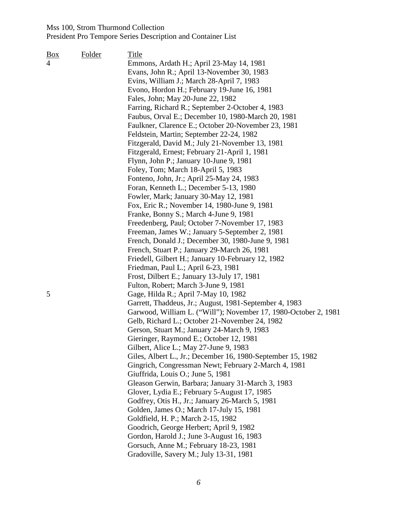| <u>Box</u> | Folder | Title                                                           |
|------------|--------|-----------------------------------------------------------------|
| 4          |        | Emmons, Ardath H.; April 23-May 14, 1981                        |
|            |        | Evans, John R.; April 13-November 30, 1983                      |
|            |        | Evins, William J.; March 28-April 7, 1983                       |
|            |        | Evono, Hordon H.; February 19-June 16, 1981                     |
|            |        | Fales, John; May 20-June 22, 1982                               |
|            |        | Farring, Richard R.; September 2-October 4, 1983                |
|            |        | Faubus, Orval E.; December 10, 1980-March 20, 1981              |
|            |        | Faulkner, Clarence E.; October 20-November 23, 1981             |
|            |        | Feldstein, Martin; September 22-24, 1982                        |
|            |        | Fitzgerald, David M.; July 21-November 13, 1981                 |
|            |        | Fitzgerald, Ernest; February 21-April 1, 1981                   |
|            |        | Flynn, John P.; January 10-June 9, 1981                         |
|            |        | Foley, Tom; March 18-April 5, 1983                              |
|            |        | Fonteno, John, Jr.; April 25-May 24, 1983                       |
|            |        | Foran, Kenneth L.; December 5-13, 1980                          |
|            |        | Fowler, Mark; January 30-May 12, 1981                           |
|            |        | Fox, Eric R.; November 14, 1980-June 9, 1981                    |
|            |        | Franke, Bonny S.; March 4-June 9, 1981                          |
|            |        | Freedenberg, Paul; October 7-November 17, 1983                  |
|            |        | Freeman, James W.; January 5-September 2, 1981                  |
|            |        | French, Donald J.; December 30, 1980-June 9, 1981               |
|            |        | French, Stuart P.; January 29-March 26, 1981                    |
|            |        | Friedell, Gilbert H.; January 10-February 12, 1982              |
|            |        | Friedman, Paul L.; April 6-23, 1981                             |
|            |        | Frost, Dilbert E.; January 13-July 17, 1981                     |
|            |        | Fulton, Robert; March 3-June 9, 1981                            |
| 5          |        | Gage, Hilda R.; April 7-May 10, 1982                            |
|            |        | Garrett, Thaddeus, Jr.; August, 1981-September 4, 1983          |
|            |        | Garwood, William L. ("Will"); November 17, 1980-October 2, 1981 |
|            |        | Gelb, Richard L.; October 21-November 24, 1982                  |
|            |        | Gerson, Stuart M.; January 24-March 9, 1983                     |
|            |        | Gieringer, Raymond E.; October 12, 1981                         |
|            |        | Gilbert, Alice L.; May 27-June 9, 1983                          |
|            |        | Giles, Albert L., Jr.; December 16, 1980-September 15, 1982     |
|            |        | Gingrich, Congressman Newt; February 2-March 4, 1981            |
|            |        | Giuffrida, Louis O.; June 5, 1981                               |
|            |        | Gleason Gerwin, Barbara; January 31-March 3, 1983               |
|            |        | Glover, Lydia E.; February 5-August 17, 1985                    |
|            |        | Godfrey, Otis H., Jr.; January 26-March 5, 1981                 |
|            |        | Golden, James O.; March 17-July 15, 1981                        |
|            |        | Goldfield, H. P.; March 2-15, 1982                              |
|            |        | Goodrich, George Herbert; April 9, 1982                         |
|            |        | Gordon, Harold J.; June 3-August 16, 1983                       |
|            |        | Gorsuch, Anne M.; February 18-23, 1981                          |
|            |        | Gradoville, Savery M.; July 13-31, 1981                         |
|            |        |                                                                 |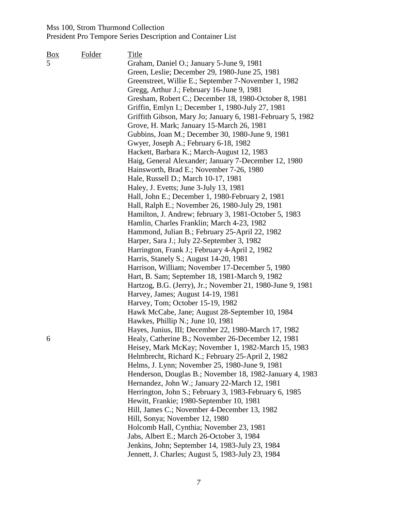| <u>Box</u> | Folder | Title                                                      |
|------------|--------|------------------------------------------------------------|
| 5          |        | Graham, Daniel O.; January 5-June 9, 1981                  |
|            |        | Green, Leslie; December 29, 1980-June 25, 1981             |
|            |        | Greenstreet, Willie E.; September 7-November 1, 1982       |
|            |        | Gregg, Arthur J.; February 16-June 9, 1981                 |
|            |        | Gresham, Robert C.; December 18, 1980-October 8, 1981      |
|            |        | Griffin, Emlyn I.; December 1, 1980-July 27, 1981          |
|            |        | Griffith Gibson, Mary Jo; January 6, 1981-February 5, 1982 |
|            |        |                                                            |
|            |        | Grove, H. Mark; January 15-March 26, 1981                  |
|            |        | Gubbins, Joan M.; December 30, 1980-June 9, 1981           |
|            |        | Gwyer, Joseph A.; February 6-18, 1982                      |
|            |        | Hackett, Barbara K.; March-August 12, 1983                 |
|            |        | Haig, General Alexander; January 7-December 12, 1980       |
|            |        | Hainsworth, Brad E.; November 7-26, 1980                   |
|            |        | Hale, Russell D.; March 10-17, 1981                        |
|            |        | Haley, J. Evetts; June 3-July 13, 1981                     |
|            |        | Hall, John E.; December 1, 1980-February 2, 1981           |
|            |        | Hall, Ralph E.; November 26, 1980-July 29, 1981            |
|            |        | Hamilton, J. Andrew; february 3, 1981-October 5, 1983      |
|            |        | Hamlin, Charles Franklin; March 4-23, 1982                 |
|            |        | Hammond, Julian B.; February 25-April 22, 1982             |
|            |        | Harper, Sara J.; July 22-September 3, 1982                 |
|            |        | Harrington, Frank J.; February 4-April 2, 1982             |
|            |        | Harris, Stanely S.; August 14-20, 1981                     |
|            |        | Harrison, William; November 17-December 5, 1980            |
|            |        | Hart, B. Sam; September 18, 1981-March 9, 1982             |
|            |        | Hartzog, B.G. (Jerry), Jr.; November 21, 1980-June 9, 1981 |
|            |        | Harvey, James; August 14-19, 1981                          |
|            |        | Harvey, Tom; October 15-19, 1982                           |
|            |        | Hawk McCabe, Jane; August 28-September 10, 1984            |
|            |        | Hawkes, Phillip N.; June 10, 1981                          |
|            |        | Hayes, Junius, III; December 22, 1980-March 17, 1982       |
| 6          |        | Healy, Catherine B.; November 26-December 12, 1981         |
|            |        | Heisey, Mark McKay; November 1, 1982-March 15, 1983        |
|            |        |                                                            |
|            |        | Helmbrecht, Richard K.; February 25-April 2, 1982          |
|            |        | Helms, J. Lynn; November 25, 1980-June 9, 1981             |
|            |        | Henderson, Douglas B.; November 18, 1982-January 4, 1983   |
|            |        | Hernandez, John W.; January 22-March 12, 1981              |
|            |        | Herrington, John S.; February 3, 1983-February 6, 1985     |
|            |        | Hewitt, Frankie; 1980-September 10, 1981                   |
|            |        | Hill, James C.; November 4-December 13, 1982               |
|            |        | Hill, Sonya; November 12, 1980                             |
|            |        | Holcomb Hall, Cynthia; November 23, 1981                   |
|            |        | Jabs, Albert E.; March 26-October 3, 1984                  |
|            |        | Jenkins, John; September 14, 1983-July 23, 1984            |
|            |        | Jennett, J. Charles; August 5, 1983-July 23, 1984          |
|            |        |                                                            |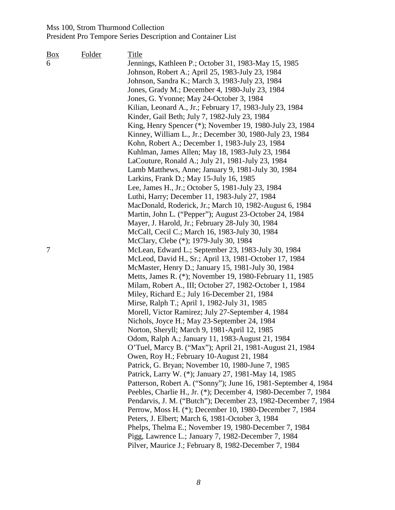| Box | Folder | Title                                                           |
|-----|--------|-----------------------------------------------------------------|
| 6   |        | Jennings, Kathleen P.; October 31, 1983-May 15, 1985            |
|     |        | Johnson, Robert A.; April 25, 1983-July 23, 1984                |
|     |        | Johnson, Sandra K.; March 3, 1983-July 23, 1984                 |
|     |        | Jones, Grady M.; December 4, 1980-July 23, 1984                 |
|     |        | Jones, G. Yvonne; May 24-October 3, 1984                        |
|     |        | Kilian, Leonard A., Jr.; February 17, 1983-July 23, 1984        |
|     |        | Kinder, Gail Beth; July 7, 1982-July 23, 1984                   |
|     |        | King, Henry Spencer (*); November 19, 1980-July 23, 1984        |
|     |        | Kinney, William L., Jr.; December 30, 1980-July 23, 1984        |
|     |        | Kohn, Robert A.; December 1, 1983-July 23, 1984                 |
|     |        | Kuhlman, James Allen; May 18, 1983-July 23, 1984                |
|     |        | LaCouture, Ronald A.; July 21, 1981-July 23, 1984               |
|     |        | Lamb Matthews, Anne; January 9, 1981-July 30, 1984              |
|     |        | Larkins, Frank D.; May 15-July 16, 1985                         |
|     |        | Lee, James H., Jr.; October 5, 1981-July 23, 1984               |
|     |        | Luthi, Harry; December 11, 1983-July 27, 1984                   |
|     |        | MacDonald, Roderick, Jr.; March 10, 1982-August 6, 1984         |
|     |        | Martin, John L. ("Pepper"); August 23-October 24, 1984          |
|     |        | Mayer, J. Harold, Jr.; February 28-July 30, 1984                |
|     |        | McCall, Cecil C.; March 16, 1983-July 30, 1984                  |
|     |        | McClary, Clebe (*); 1979-July 30, 1984                          |
| 7   |        | McLean, Edward L.; September 23, 1983-July 30, 1984             |
|     |        | McLeod, David H., Sr.; April 13, 1981-October 17, 1984          |
|     |        | McMaster, Henry D.; January 15, 1981-July 30, 1984              |
|     |        | Metts, James R. (*); November 19, 1980-February 11, 1985        |
|     |        | Milam, Robert A., III; October 27, 1982-October 1, 1984         |
|     |        | Miley, Richard E.; July 16-December 21, 1984                    |
|     |        | Mirse, Ralph T.; April 1, 1982-July 31, 1985                    |
|     |        | Morell, Victor Ramirez; July 27-September 4, 1984               |
|     |        | Nichols, Joyce H.; May 23-September 24, 1984                    |
|     |        | Norton, Sheryll; March 9, 1981-April 12, 1985                   |
|     |        | Odom, Ralph A.; January 11, 1983-August 21, 1984                |
|     |        | O'Tuel, Marcy B. ("Max"); April 21, 1981-August 21, 1984        |
|     |        | Owen, Roy H.; February 10-August 21, 1984                       |
|     |        | Patrick, G. Bryan; November 10, 1980-June 7, 1985               |
|     |        | Patrick, Larry W. (*); January 27, 1981-May 14, 1985            |
|     |        | Patterson, Robert A. ("Sonny"); June 16, 1981-September 4, 1984 |
|     |        | Peebles, Charlie H., Jr. (*); December 4, 1980-December 7, 1984 |
|     |        | Pendarvis, J. M. ("Butch"); December 23, 1982-December 7, 1984  |
|     |        | Perrow, Moss H. (*); December 10, 1980-December 7, 1984         |
|     |        | Peters, J. Elbert; March 6, 1981-October 3, 1984                |
|     |        | Phelps, Thelma E.; November 19, 1980-December 7, 1984           |
|     |        | Pigg, Lawrence L.; January 7, 1982-December 7, 1984             |
|     |        | Pilver, Maurice J.; February 8, 1982-December 7, 1984           |
|     |        |                                                                 |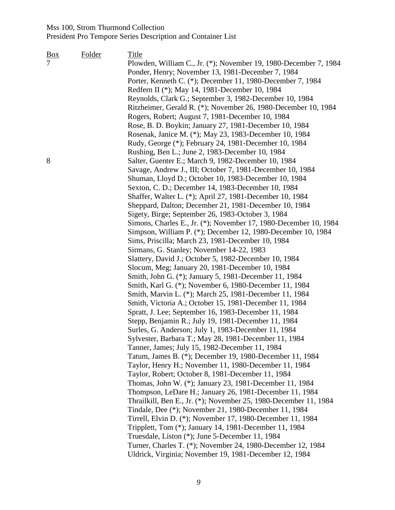| <u>Box</u>     | Folder | Title                                                                                                        |
|----------------|--------|--------------------------------------------------------------------------------------------------------------|
| $\overline{7}$ |        | Plowden, William C., Jr. (*); November 19, 1980-December 7, 1984                                             |
|                |        | Ponder, Henry; November 13, 1981-December 7, 1984                                                            |
|                |        | Porter, Kenneth C. (*); December 11, 1980-December 7, 1984                                                   |
|                |        | Redfern II (*); May 14, 1981-December 10, 1984                                                               |
|                |        | Reynolds, Clark G.; September 3, 1982-December 10, 1984                                                      |
|                |        | Ritzheimer, Gerald R. (*); November 26, 1980-December 10, 1984                                               |
|                |        | Rogers, Robert; August 7, 1981-December 10, 1984                                                             |
|                |        | Rose, B. D. Boykin; January 27, 1981-December 10, 1984                                                       |
|                |        | Rosenak, Janice M. (*); May 23, 1983-December 10, 1984                                                       |
|                |        | Rudy, George (*); February 24, 1981-December 10, 1984                                                        |
|                |        | Rushing, Ben L.; June 2, 1983-December 10, 1984                                                              |
| 8              |        | Salter, Guenter E.; March 9, 1982-December 10, 1984                                                          |
|                |        | Savage, Andrew J., III; October 7, 1981-December 10, 1984                                                    |
|                |        | Shuman, Lloyd D.; October 10, 1983-December 10, 1984                                                         |
|                |        | Sexton, C. D.; December 14, 1983-December 10, 1984                                                           |
|                |        | Shaffer, Walter L. (*); April 27, 1981-December 10, 1984                                                     |
|                |        | Sheppard, Dalton; December 21, 1981-December 10, 1984                                                        |
|                |        | Sigety, Birge; September 26, 1983-October 3, 1984                                                            |
|                |        | Simons, Charles E., Jr. (*); November 17, 1980-December 10, 1984                                             |
|                |        | Simpson, William P. (*); December 12, 1980-December 10, 1984                                                 |
|                |        | Sims, Priscilla; March 23, 1981-December 10, 1984                                                            |
|                |        | Sirmans, G. Stanley; November 14-22, 1983                                                                    |
|                |        | Slattery, David J.; October 5, 1982-December 10, 1984                                                        |
|                |        | Slocum, Meg; January 20, 1981-December 10, 1984                                                              |
|                |        | Smith, John G. (*); January 5, 1981-December 11, 1984                                                        |
|                |        | Smith, Karl G. (*); November 6, 1980-December 11, 1984                                                       |
|                |        | Smith, Marvin L. (*); March 25, 1981-December 11, 1984                                                       |
|                |        | Smith, Victoria A.; October 15, 1981-December 11, 1984                                                       |
|                |        | Spratt, J. Lee; September 16, 1983-December 11, 1984                                                         |
|                |        | Stepp, Benjamin R.; July 19, 1981-December 11, 1984                                                          |
|                |        | Surles, G. Anderson; July 1, 1983-December 11, 1984                                                          |
|                |        | Sylvester, Barbara T.; May 28, 1981-December 11, 1984                                                        |
|                |        | Tanner, James; July 15, 1982-December 11, 1984                                                               |
|                |        | Tatum, James B. (*); December 19, 1980-December 11, 1984                                                     |
|                |        | Taylor, Henry H.; November 11, 1980-December 11, 1984                                                        |
|                |        |                                                                                                              |
|                |        | Taylor, Robert; October 8, 1981-December 11, 1984<br>Thomas, John W. (*); January 23, 1981-December 11, 1984 |
|                |        |                                                                                                              |
|                |        | Thompson, LeDare H.; January 26, 1981-December 11, 1984                                                      |
|                |        | Thrailkill, Ben E., Jr. (*); November 25, 1980-December 11, 1984                                             |
|                |        | Tindale, Dee (*); November 21, 1980-December 11, 1984                                                        |
|                |        | Tirrell, Elvin D. (*); November 17, 1980-December 11, 1984                                                   |
|                |        | Tripplett, Tom (*); January 14, 1981-December 11, 1984                                                       |
|                |        | Truesdale, Liston (*); June 5-December 11, 1984                                                              |
|                |        | Turner, Charles T. (*); November 24, 1980-December 12, 1984                                                  |
|                |        | Uldrick, Virginia; November 19, 1981-December 12, 1984                                                       |